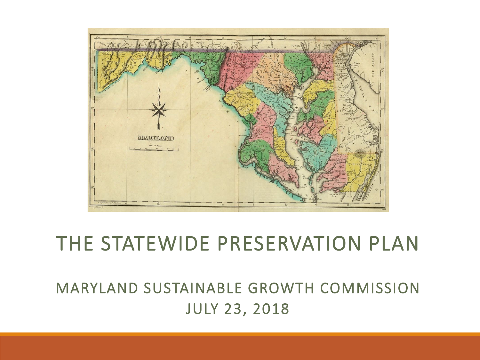

#### THE STATEWIDE PRESERVATION PLAN

#### MARYLAND SUSTAINABLE GROWTH COMMISSION JULY 23, 2018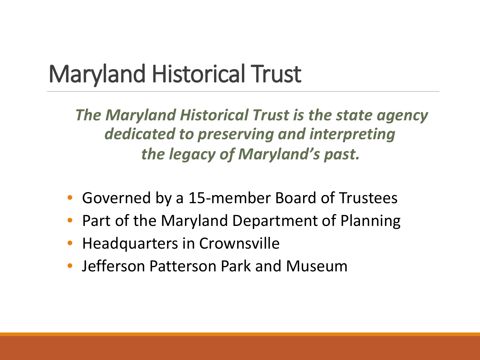# Maryland Historical Trust

*The Maryland Historical Trust is the state agency dedicated to preserving and interpreting the legacy of Maryland's past.*

- Governed by a 15-member Board of Trustees
- Part of the Maryland Department of Planning
- Headquarters in Crownsville
- Jefferson Patterson Park and Museum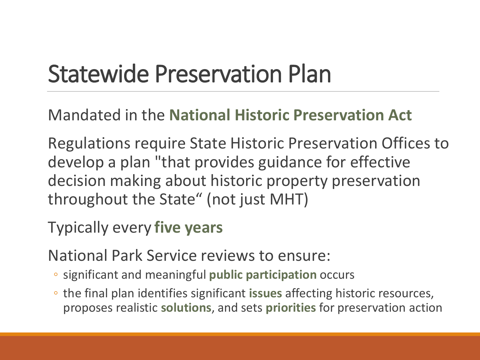# Statewide Preservation Plan

Mandated in the **National Historic Preservation Act**

Regulations require State Historic Preservation Offices to develop a plan "that provides guidance for effective decision making about historic property preservation throughout the State" (not just MHT)

Typically every **five years**

National Park Service reviews to ensure:

- significant and meaningful **public participation** occurs
- the final plan identifies significant **issues** affecting historic resources, proposes realistic **solutions**, and sets **priorities** for preservation action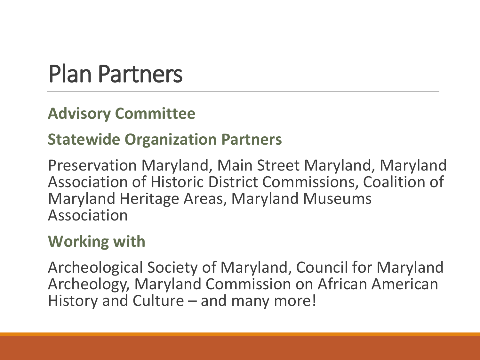## Plan Partners

#### **Advisory Committee**

#### **Statewide Organization Partners**

Preservation Maryland, Main Street Maryland, Maryland Association of Historic District Commissions, Coalition of Maryland Heritage Areas, Maryland Museums Association

#### **Working with**

Archeological Society of Maryland, Council for Maryland Archeology, Maryland Commission on African American History and Culture – and many more!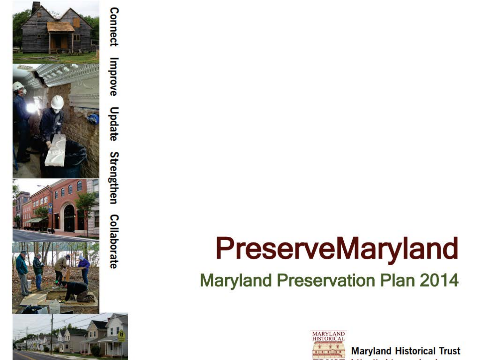

# **PreserveMaryland Maryland Preservation Plan 2014**



**Maryland Historical Trust**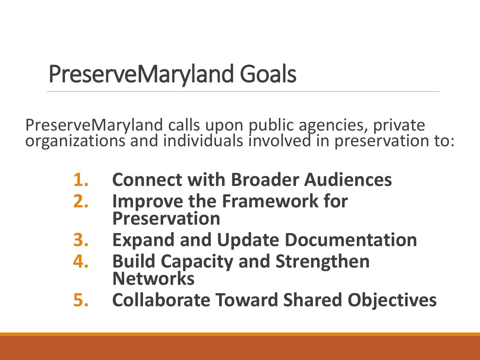# PreserveMaryland Goals

PreserveMaryland calls upon public agencies, private organizations and individuals involved in preservation to:

- **1. Connect with Broader Audiences**
- **2. Improve the Framework for Preservation**
- **3. Expand and Update Documentation**
- **4. Build Capacity and Strengthen Networks**
- **5. Collaborate Toward Shared Objectives**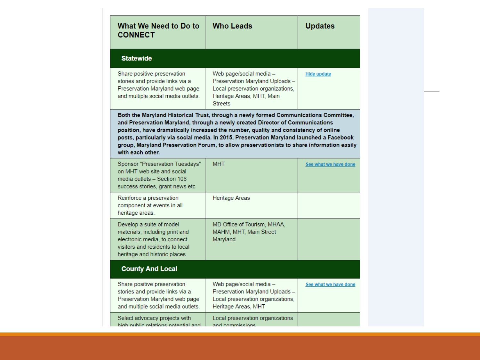| What We Need to Do to<br><b>CONNECT</b>                                                                                                                                                                                                                                                                                                                                                                                                                                   | <b>Who Leads</b>                                                                                                                               | <b>Updates</b>        |
|---------------------------------------------------------------------------------------------------------------------------------------------------------------------------------------------------------------------------------------------------------------------------------------------------------------------------------------------------------------------------------------------------------------------------------------------------------------------------|------------------------------------------------------------------------------------------------------------------------------------------------|-----------------------|
| <b>Statewide</b>                                                                                                                                                                                                                                                                                                                                                                                                                                                          |                                                                                                                                                |                       |
| Share positive preservation<br>stories and provide links via a<br>Preservation Maryland web page<br>and multiple social media outlets.                                                                                                                                                                                                                                                                                                                                    | Web page/social media -<br>Preservation Maryland Uploads -<br>Local preservation organizations,<br>Heritage Areas, MHT, Main<br><b>Streets</b> | <b>Hide update</b>    |
| Both the Maryland Historical Trust, through a newly formed Communications Committee,<br>and Preservation Maryland, through a newly created Director of Communications<br>position, have dramatically increased the number, quality and consistency of online<br>posts, particularly via social media. In 2015, Preservation Maryland launched a Facebook<br>group, Maryland Preservation Forum, to allow preservationists to share information easily<br>with each other. |                                                                                                                                                |                       |
| Sponsor "Preservation Tuesdays"<br>on MHT web site and social<br>media outlets - Section 106<br>success stories, grant news etc.                                                                                                                                                                                                                                                                                                                                          | <b>MHT</b>                                                                                                                                     | See what we have done |
| Reinforce a preservation<br>component at events in all<br>heritage areas.                                                                                                                                                                                                                                                                                                                                                                                                 | <b>Heritage Areas</b>                                                                                                                          |                       |
| Develop a suite of model<br>materials, including print and<br>electronic media, to connect<br>visitors and residents to local<br>heritage and historic places.                                                                                                                                                                                                                                                                                                            | MD Office of Tourism, MHAA,<br>MAHM, MHT, Main Street<br>Maryland                                                                              |                       |
| <b>County And Local</b>                                                                                                                                                                                                                                                                                                                                                                                                                                                   |                                                                                                                                                |                       |
| Share positive preservation<br>stories and provide links via a<br>Preservation Maryland web page<br>and multiple social media outlets.                                                                                                                                                                                                                                                                                                                                    | Web page/social media -<br>Preservation Maryland Uploads -<br>Local preservation organizations,<br>Heritage Areas, MHT                         | See what we have done |
| Select advocacy projects with<br>high public relations potential and                                                                                                                                                                                                                                                                                                                                                                                                      | Local preservation organizations<br>and commissions                                                                                            |                       |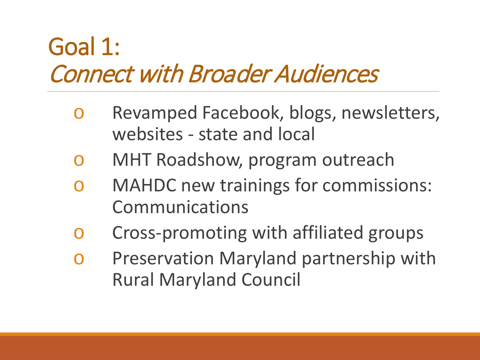#### Goal 1: Connect with Broader Audiences

- o Revamped Facebook, blogs, newsletters, websites - state and local
- o MHT Roadshow, program outreach
- o MAHDC new trainings for commissions: Communications
- o Cross-promoting with affiliated groups
- o Preservation Maryland partnership with Rural Maryland Council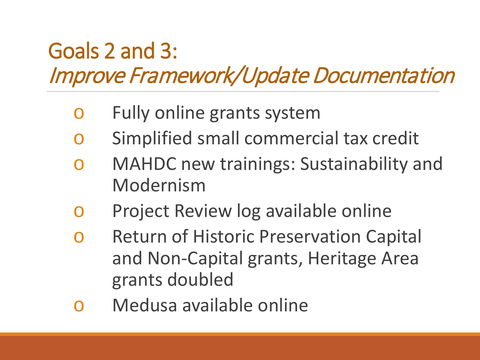#### Goals 2 and 3: Improve Framework/Update Documentation

- o Fully online grants system
- o Simplified small commercial tax credit
- o MAHDC new trainings: Sustainability and Modernism
- o Project Review log available online
- o Return of Historic Preservation Capital and Non-Capital grants, Heritage Area grants doubled
- o Medusa available online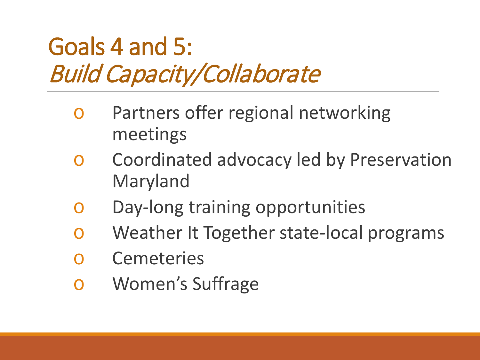## Goals 4 and 5: Build Capacity/Collaborate

- o Partners offer regional networking meetings
- o Coordinated advocacy led by Preservation Maryland
- o Day-long training opportunities
- o Weather It Together state-local programs
- o Cemeteries
- o Women's Suffrage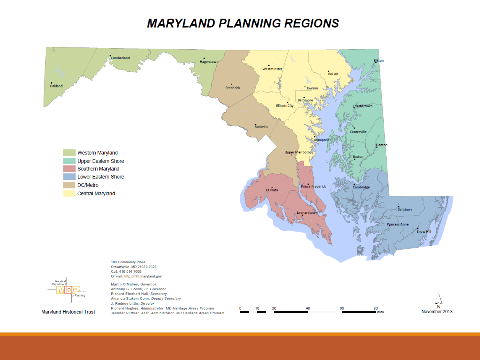#### **MARYLAND PLANNING REGIONS**



**Marvland Historical Trust**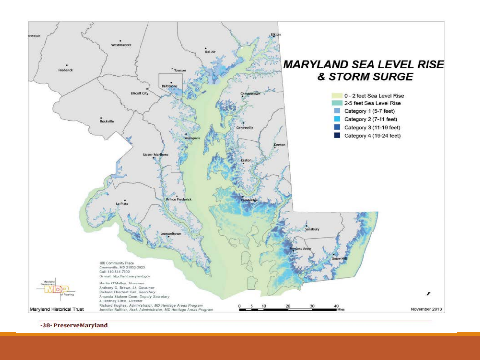

<sup>-38-</sup> PreserveMaryland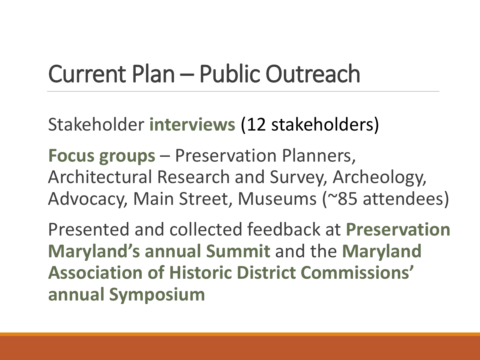## Current Plan – Public Outreach

Stakeholder **interviews** (12 stakeholders)

**Focus groups** – Preservation Planners, Architectural Research and Survey, Archeology, Advocacy, Main Street, Museums (~85 attendees)

Presented and collected feedback at **Preservation Maryland's annual Summit** and the **Maryland Association of Historic District Commissions' annual Symposium**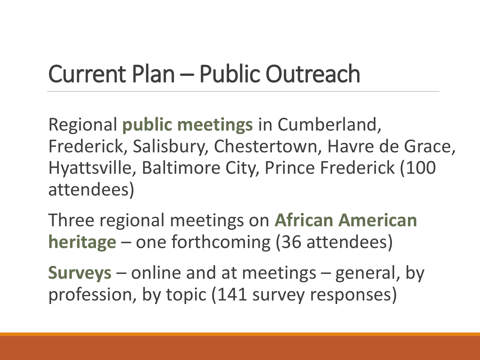# Current Plan – Public Outreach

Regional **public meetings** in Cumberland, Frederick, Salisbury, Chestertown, Havre de Grace, Hyattsville, Baltimore City, Prince Frederick (100 attendees)

Three regional meetings on **African American heritage** – one forthcoming (36 attendees)

**Surveys** – online and at meetings – general, by profession, by topic (141 survey responses)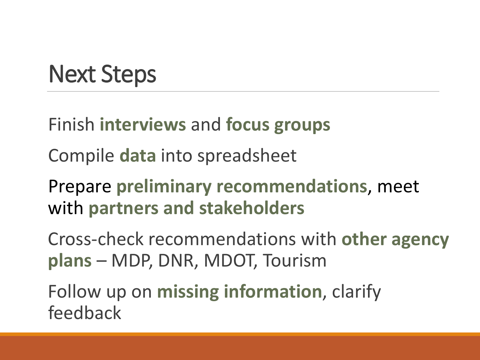## Next Steps

Finish **interviews** and **focus groups**

Compile **data** into spreadsheet

Prepare **preliminary recommendations**, meet with **partners and stakeholders**

Cross-check recommendations with **other agency plans** – MDP, DNR, MDOT, Tourism

Follow up on **missing information**, clarify feedback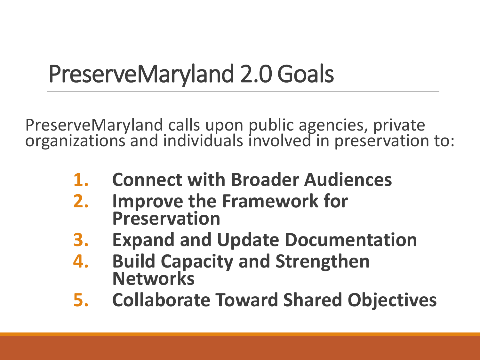# PreserveMaryland 2.0 Goals

PreserveMaryland calls upon public agencies, private organizations and individuals involved in preservation to:

- **1. Connect with Broader Audiences**
- **2. Improve the Framework for Preservation**
- **3. Expand and Update Documentation**
- **4. Build Capacity and Strengthen Networks**
- **5. Collaborate Toward Shared Objectives**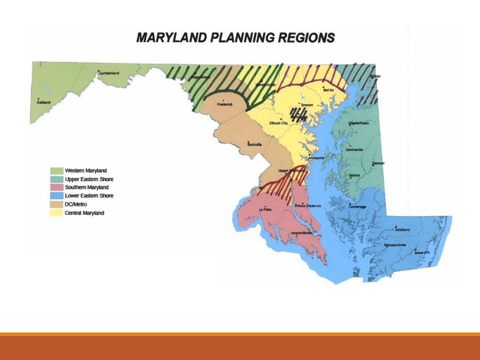#### **MARYLAND PLANNING REGIONS**

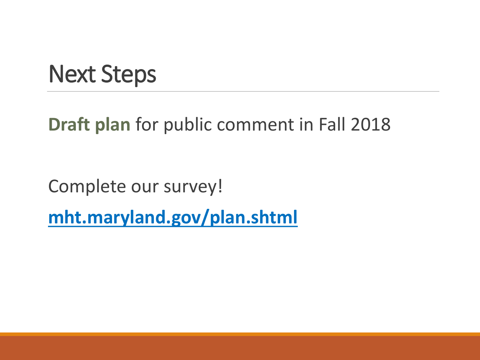#### Next Steps

#### **Draft plan** for public comment in Fall 2018

Complete our survey!

**mht.maryland.gov/plan.shtml**